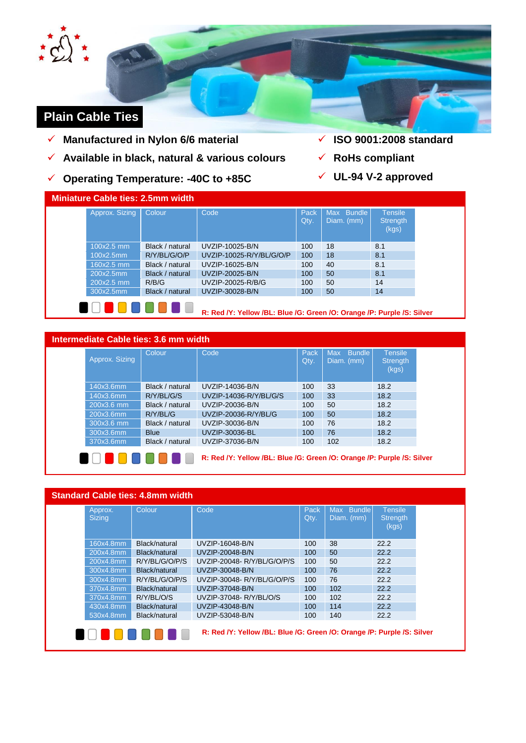

# **Plain Cable Ties**

- **Manufactured in Nylon 6/6 material**
- **Available in black, natural & various colours**
- **Operating Temperature: -40C to +85C**
- **ISO 9001:2008 standard**
- **RoHs compliant**
- **UL-94 V-2 approved**

| Approx. Sizing | <b>Colour</b>   | Code                                                                   | Pack<br>Qty. | Max Bundle<br>Diam. (mm) | <b>Tensile</b><br><b>Strength</b><br>(kgs) |
|----------------|-----------------|------------------------------------------------------------------------|--------------|--------------------------|--------------------------------------------|
| $100x2.5$ mm   | Black / natural | UVZIP-10025-B/N                                                        | 100          | 18                       | 8.1                                        |
| 100x2.5mm      | R/Y/BL/G/O/P    | UVZIP-10025-R/Y/BL/G/O/P                                               | 100          | 18                       | 8.1                                        |
| $160x2.5$ mm   | Black / natural | UVZIP-16025-B/N                                                        | 100          | 40                       | 8.1                                        |
| 200x2.5mm      | Black / natural | UVZIP-20025-B/N                                                        | 100          | 50                       | 8.1                                        |
| 200x2.5 mm     | R/B/G           | UVZIP-20025-R/B/G                                                      | 100          | 50                       | 14                                         |
| 300x2.5mm      | Black / natural | UVZIP-30028-B/N                                                        | 100          | 50                       | 14                                         |
|                |                 | R: Red /Y: Yellow /BL: Blue /G: Green /O: Orange /P: Purple /S: Silver |              |                          |                                            |

## **Intermediate Cable ties: 3.6 mm width**

| Approx. Sizing | Colour          | Code                                                                   | Pack<br>Qty. | <b>Bundle</b><br><b>Max</b><br>Diam. (mm) | <b>Tensile</b><br>Strength<br>(kgs) |
|----------------|-----------------|------------------------------------------------------------------------|--------------|-------------------------------------------|-------------------------------------|
| 140x3.6mm      | Black / natural | UVZIP-14036-B/N                                                        | 100          | 33                                        | 18.2                                |
| 140x3.6mm      | R/Y/BL/G/S      | UVZIP-14036-R/Y/BL/G/S                                                 | 100          | 33                                        | 18.2                                |
| 200x3.6 mm     | Black / natural | UVZIP-20036-B/N                                                        | 100          | 50                                        | 18.2                                |
| 200x3.6mm      | R/Y/BL/G        | UVZIP-20036-R/Y/BL/G                                                   | 100          | 50                                        | 18.2                                |
| 300x3.6 mm     | Black / natural | UVZIP-30036-B/N                                                        | 100          | 76                                        | 18.2                                |
| 300x3.6mm      | <b>Blue</b>     | UVZIP-30036-BL                                                         | 100          | 76                                        | 18.2                                |
| 370x3.6mm      | Black / natural | UVZIP-37036-B/N                                                        | 100          | 102                                       | 18.2                                |
|                |                 | R: Red /Y: Yellow /BL: Blue /G: Green /O: Orange /P: Purple /S: Silver |              |                                           |                                     |

| Approx.<br><b>Sizing</b> | Colour         | Code                        | Pack<br>Qty. | <b>Bundle</b><br>Max<br>Diam. (mm) | <b>Tensile</b><br><b>Strength</b><br>(kgs) |
|--------------------------|----------------|-----------------------------|--------------|------------------------------------|--------------------------------------------|
| 160x4.8mm                | Black/natural  | UVZIP-16048-B/N             | 100          | 38                                 | 22.2                                       |
| 200x4.8mm                | Black/natural  | UVZIP-20048-B/N             | 100          | 50                                 | 22.2                                       |
| 200x4.8mm                | R/Y/BL/G/O/P/S | UVZIP-20048-R/Y/BL/G/O/P/S  | 100          | 50                                 | 22.2                                       |
| 300x4.8mm                | Black/natural  | UVZIP-30048-B/N             | 100          | 76                                 | 22.2                                       |
| 300x4.8mm                | R/Y/BL/G/O/P/S | UVZIP-30048- R/Y/BL/G/O/P/S | 100          | 76                                 | 22.2                                       |
| 370x4.8mm                | Black/natural  | UVZIP-37048-B/N             | 100          | 102                                | 22.2                                       |
| 370x4.8mm                | R/Y/BL/O/S     | UVZIP-37048-R/Y/BL/O/S      | 100          | 102                                | 22.2                                       |
| 430x4.8mm                | Black/natural  | UVZIP-43048-B/N             | 100          | 114                                | 22.2                                       |
| 530x4.8mm                | Black/natural  | UVZIP-53048-B/N             | 100          | 140                                | 22.2                                       |